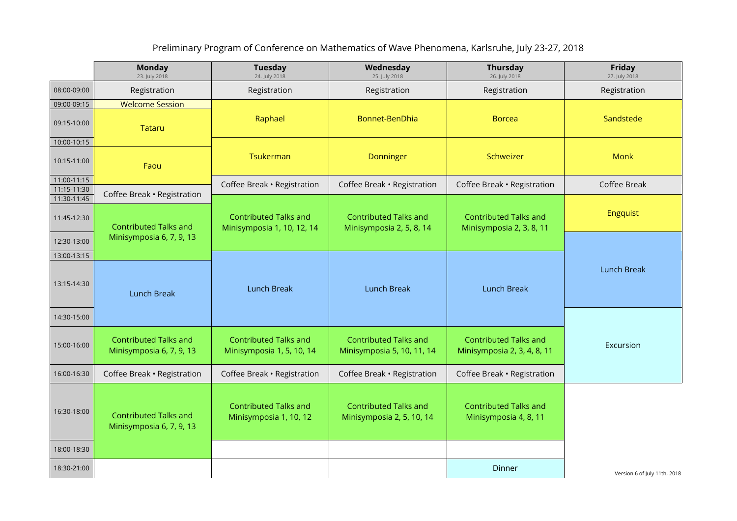## Preliminary Program of Conference on Mathematics of Wave Phenomena, Karlsruhe, July 23-27, 2018

|                            | <b>Monday</b><br>23. July 2018                           | <b>Tuesday</b><br>24. July 2018                            | Wednesday<br>25. July 2018                                 | Thursday<br>26. July 2018                                   | Friday<br>27. July 2018      |
|----------------------------|----------------------------------------------------------|------------------------------------------------------------|------------------------------------------------------------|-------------------------------------------------------------|------------------------------|
| 08:00-09:00                | Registration                                             | Registration                                               | Registration                                               | Registration                                                | Registration                 |
| 09:00-09:15                | <b>Welcome Session</b>                                   |                                                            |                                                            |                                                             |                              |
| 09:15-10:00                | <b>Tataru</b>                                            | Raphael                                                    | Bonnet-BenDhia                                             | <b>Borcea</b>                                               | Sandstede                    |
| 10:00-10:15                |                                                          |                                                            |                                                            |                                                             |                              |
| 10:15-11:00                | Faou                                                     | Tsukerman                                                  | Donninger                                                  | Schweizer                                                   | <b>Monk</b>                  |
| 11:00-11:15                |                                                          | Coffee Break · Registration                                | Coffee Break · Registration                                | Coffee Break · Registration                                 | Coffee Break                 |
| 11:15-11:30                | Coffee Break · Registration                              |                                                            |                                                            |                                                             |                              |
| 11:30-11:45<br>11:45-12:30 | <b>Contributed Talks and</b><br>Minisymposia 6, 7, 9, 13 | <b>Contributed Talks and</b><br>Minisymposia 1, 10, 12, 14 | <b>Contributed Talks and</b><br>Minisymposia 2, 5, 8, 14   | <b>Contributed Talks and</b><br>Minisymposia 2, 3, 8, 11    | <b>Engquist</b>              |
| 12:30-13:00                |                                                          |                                                            |                                                            |                                                             |                              |
| 13:00-13:15                |                                                          |                                                            |                                                            |                                                             |                              |
| 13:15-14:30                | <b>Lunch Break</b>                                       | <b>Lunch Break</b>                                         | <b>Lunch Break</b>                                         | <b>Lunch Break</b>                                          | <b>Lunch Break</b>           |
| 14:30-15:00                |                                                          |                                                            |                                                            |                                                             |                              |
| 15:00-16:00                | <b>Contributed Talks and</b><br>Minisymposia 6, 7, 9, 13 | <b>Contributed Talks and</b><br>Minisymposia 1, 5, 10, 14  | <b>Contributed Talks and</b><br>Minisymposia 5, 10, 11, 14 | <b>Contributed Talks and</b><br>Minisymposia 2, 3, 4, 8, 11 | Excursion                    |
| 16:00-16:30                | Coffee Break · Registration                              | Coffee Break · Registration                                | Coffee Break · Registration                                | Coffee Break · Registration                                 |                              |
| 16:30-18:00                | <b>Contributed Talks and</b><br>Minisymposia 6, 7, 9, 13 | <b>Contributed Talks and</b><br>Minisymposia 1, 10, 12     | <b>Contributed Talks and</b><br>Minisymposia 2, 5, 10, 14  | <b>Contributed Talks and</b><br>Minisymposia 4, 8, 11       |                              |
| 18:00-18:30                |                                                          |                                                            |                                                            |                                                             |                              |
| 18:30-21:00                |                                                          |                                                            |                                                            | Dinner                                                      | Version 6 of July 11th, 2018 |

Version 6 of July 11th, 2018